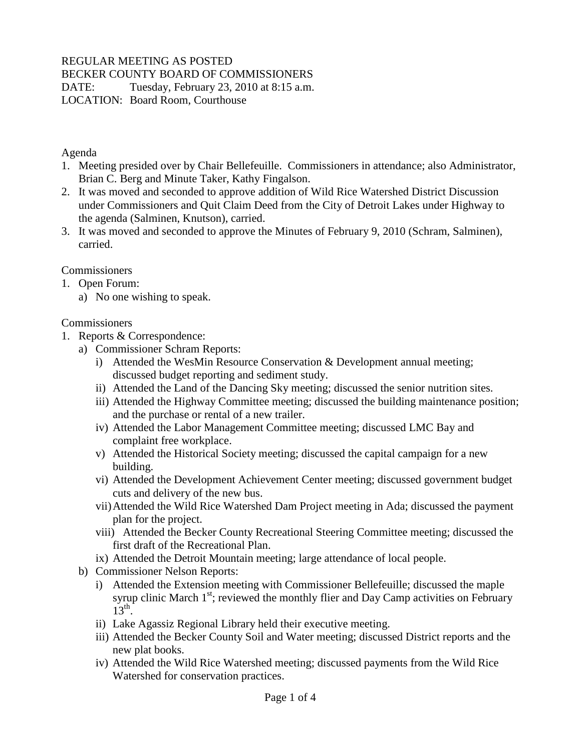## REGULAR MEETING AS POSTED

BECKER COUNTY BOARD OF COMMISSIONERS

DATE: Tuesday, February 23, 2010 at 8:15 a.m. LOCATION: Board Room, Courthouse

## Agenda

- 1. Meeting presided over by Chair Bellefeuille. Commissioners in attendance; also Administrator, Brian C. Berg and Minute Taker, Kathy Fingalson.
- 2. It was moved and seconded to approve addition of Wild Rice Watershed District Discussion under Commissioners and Quit Claim Deed from the City of Detroit Lakes under Highway to the agenda (Salminen, Knutson), carried.
- 3. It was moved and seconded to approve the Minutes of February 9, 2010 (Schram, Salminen), carried.

## **Commissioners**

- 1. Open Forum:
	- a) No one wishing to speak.

## **Commissioners**

- 1. Reports & Correspondence:
	- a) Commissioner Schram Reports:
		- i) Attended the WesMin Resource Conservation & Development annual meeting; discussed budget reporting and sediment study.
		- ii) Attended the Land of the Dancing Sky meeting; discussed the senior nutrition sites.
		- iii) Attended the Highway Committee meeting; discussed the building maintenance position; and the purchase or rental of a new trailer.
		- iv) Attended the Labor Management Committee meeting; discussed LMC Bay and complaint free workplace.
		- v) Attended the Historical Society meeting; discussed the capital campaign for a new building.
		- vi) Attended the Development Achievement Center meeting; discussed government budget cuts and delivery of the new bus.
		- vii)Attended the Wild Rice Watershed Dam Project meeting in Ada; discussed the payment plan for the project.
		- viii) Attended the Becker County Recreational Steering Committee meeting; discussed the first draft of the Recreational Plan.
		- ix) Attended the Detroit Mountain meeting; large attendance of local people.
	- b) Commissioner Nelson Reports:
		- i) Attended the Extension meeting with Commissioner Bellefeuille; discussed the maple syrup clinic March  $1<sup>st</sup>$ ; reviewed the monthly flier and Day Camp activities on February  $13<sup>th</sup>$ .
		- ii) Lake Agassiz Regional Library held their executive meeting.
		- iii) Attended the Becker County Soil and Water meeting; discussed District reports and the new plat books.
		- iv) Attended the Wild Rice Watershed meeting; discussed payments from the Wild Rice Watershed for conservation practices.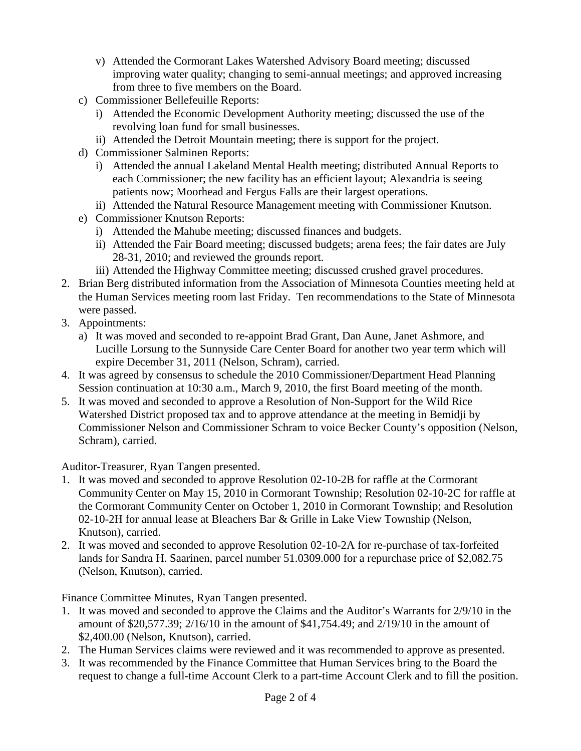- v) Attended the Cormorant Lakes Watershed Advisory Board meeting; discussed improving water quality; changing to semi-annual meetings; and approved increasing from three to five members on the Board.
- c) Commissioner Bellefeuille Reports:
	- i) Attended the Economic Development Authority meeting; discussed the use of the revolving loan fund for small businesses.
	- ii) Attended the Detroit Mountain meeting; there is support for the project.
- d) Commissioner Salminen Reports:
	- i) Attended the annual Lakeland Mental Health meeting; distributed Annual Reports to each Commissioner; the new facility has an efficient layout; Alexandria is seeing patients now; Moorhead and Fergus Falls are their largest operations.
	- ii) Attended the Natural Resource Management meeting with Commissioner Knutson.
- e) Commissioner Knutson Reports:
	- i) Attended the Mahube meeting; discussed finances and budgets.
	- ii) Attended the Fair Board meeting; discussed budgets; arena fees; the fair dates are July 28-31, 2010; and reviewed the grounds report.
	- iii) Attended the Highway Committee meeting; discussed crushed gravel procedures.
- 2. Brian Berg distributed information from the Association of Minnesota Counties meeting held at the Human Services meeting room last Friday. Ten recommendations to the State of Minnesota were passed.
- 3. Appointments:
	- a) It was moved and seconded to re-appoint Brad Grant, Dan Aune, Janet Ashmore, and Lucille Lorsung to the Sunnyside Care Center Board for another two year term which will expire December 31, 2011 (Nelson, Schram), carried.
- 4. It was agreed by consensus to schedule the 2010 Commissioner/Department Head Planning Session continuation at 10:30 a.m., March 9, 2010, the first Board meeting of the month.
- 5. It was moved and seconded to approve a Resolution of Non-Support for the Wild Rice Watershed District proposed tax and to approve attendance at the meeting in Bemidji by Commissioner Nelson and Commissioner Schram to voice Becker County's opposition (Nelson, Schram), carried.

Auditor-Treasurer, Ryan Tangen presented.

- 1. It was moved and seconded to approve Resolution 02-10-2B for raffle at the Cormorant Community Center on May 15, 2010 in Cormorant Township; Resolution 02-10-2C for raffle at the Cormorant Community Center on October 1, 2010 in Cormorant Township; and Resolution 02-10-2H for annual lease at Bleachers Bar & Grille in Lake View Township (Nelson, Knutson), carried.
- 2. It was moved and seconded to approve Resolution 02-10-2A for re-purchase of tax-forfeited lands for Sandra H. Saarinen, parcel number 51.0309.000 for a repurchase price of \$2,082.75 (Nelson, Knutson), carried.

Finance Committee Minutes, Ryan Tangen presented.

- 1. It was moved and seconded to approve the Claims and the Auditor's Warrants for 2/9/10 in the amount of \$20,577.39; 2/16/10 in the amount of \$41,754.49; and 2/19/10 in the amount of \$2,400.00 (Nelson, Knutson), carried.
- 2. The Human Services claims were reviewed and it was recommended to approve as presented.
- 3. It was recommended by the Finance Committee that Human Services bring to the Board the request to change a full-time Account Clerk to a part-time Account Clerk and to fill the position.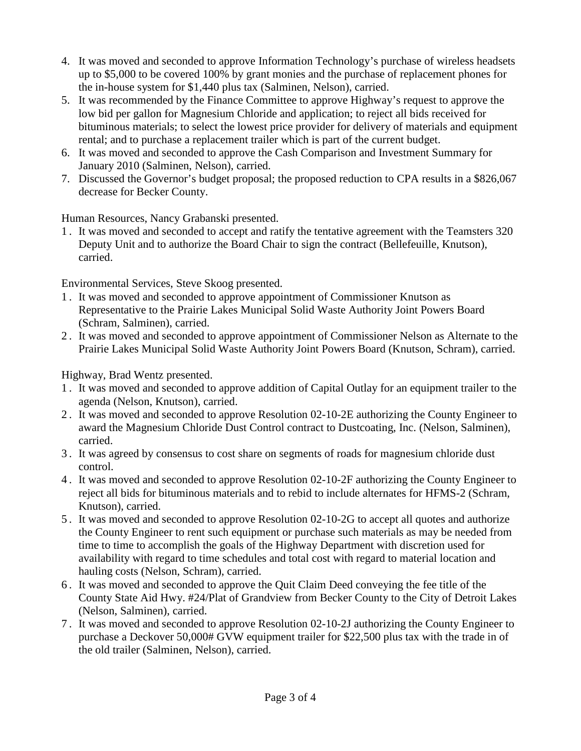- 4. It was moved and seconded to approve Information Technology's purchase of wireless headsets up to \$5,000 to be covered 100% by grant monies and the purchase of replacement phones for the in-house system for \$1,440 plus tax (Salminen, Nelson), carried.
- 5. It was recommended by the Finance Committee to approve Highway's request to approve the low bid per gallon for Magnesium Chloride and application; to reject all bids received for bituminous materials; to select the lowest price provider for delivery of materials and equipment rental; and to purchase a replacement trailer which is part of the current budget.
- 6. It was moved and seconded to approve the Cash Comparison and Investment Summary for January 2010 (Salminen, Nelson), carried.
- 7. Discussed the Governor's budget proposal; the proposed reduction to CPA results in a \$826,067 decrease for Becker County.

Human Resources, Nancy Grabanski presented.

1 . It was moved and seconded to accept and ratify the tentative agreement with the Teamsters 320 Deputy Unit and to authorize the Board Chair to sign the contract (Bellefeuille, Knutson), carried.

Environmental Services, Steve Skoog presented.

- 1 . It was moved and seconded to approve appointment of Commissioner Knutson as Representative to the Prairie Lakes Municipal Solid Waste Authority Joint Powers Board (Schram, Salminen), carried.
- 2 . It was moved and seconded to approve appointment of Commissioner Nelson as Alternate to the Prairie Lakes Municipal Solid Waste Authority Joint Powers Board (Knutson, Schram), carried.

Highway, Brad Wentz presented.

- 1 . It was moved and seconded to approve addition of Capital Outlay for an equipment trailer to the agenda (Nelson, Knutson), carried.
- 2 . It was moved and seconded to approve Resolution 02-10-2E authorizing the County Engineer to award the Magnesium Chloride Dust Control contract to Dustcoating, Inc. (Nelson, Salminen), carried.
- 3 . It was agreed by consensus to cost share on segments of roads for magnesium chloride dust control.
- 4 . It was moved and seconded to approve Resolution 02-10-2F authorizing the County Engineer to reject all bids for bituminous materials and to rebid to include alternates for HFMS-2 (Schram, Knutson), carried.
- 5 . It was moved and seconded to approve Resolution 02-10-2G to accept all quotes and authorize the County Engineer to rent such equipment or purchase such materials as may be needed from time to time to accomplish the goals of the Highway Department with discretion used for availability with regard to time schedules and total cost with regard to material location and hauling costs (Nelson, Schram), carried.
- 6 . It was moved and seconded to approve the Quit Claim Deed conveying the fee title of the County State Aid Hwy. #24/Plat of Grandview from Becker County to the City of Detroit Lakes (Nelson, Salminen), carried.
- 7 . It was moved and seconded to approve Resolution 02-10-2J authorizing the County Engineer to purchase a Deckover 50,000# GVW equipment trailer for \$22,500 plus tax with the trade in of the old trailer (Salminen, Nelson), carried.